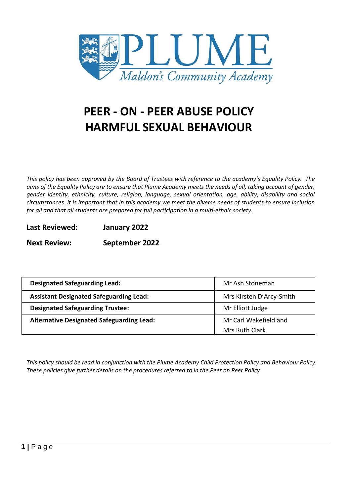

# **PEER - ON - PEER ABUSE POLICY HARMFUL SEXUAL BEHAVIOUR**

*This policy has been approved by the Board of Trustees with reference to the academy's Equality Policy. The aims of the Equality Policy are to ensure that Plume Academy meets the needs of all, taking account of gender, gender identity, ethnicity, culture, religion, language, sexual orientation, age, ability, disability and social circumstances. It is important that in this academy we meet the diverse needs of students to ensure inclusion for all and that all students are prepared for full participation in a multi-ethnic society.*

## **Last Reviewed: January 2022**

**Next Review: September 2022**

| <b>Designated Safeguarding Lead:</b>             | Mr Ash Stoneman          |
|--------------------------------------------------|--------------------------|
| <b>Assistant Designated Safeguarding Lead:</b>   | Mrs Kirsten D'Arcy-Smith |
| <b>Designated Safeguarding Trustee:</b>          | Mr Elliott Judge         |
| <b>Alternative Designated Safeguarding Lead:</b> | Mr Carl Wakefield and    |
|                                                  | Mrs Ruth Clark           |

*This policy should be read in conjunction with the Plume Academy Child Protection Policy and Behaviour Policy. These policies give further details on the procedures referred to in the Peer on Peer Policy*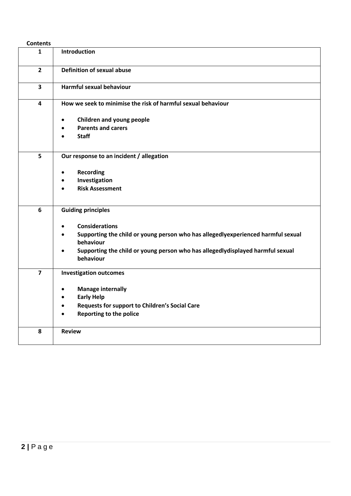| <b>Contents</b> |                                                                                               |
|-----------------|-----------------------------------------------------------------------------------------------|
| $\mathbf{1}$    | Introduction                                                                                  |
| $\overline{2}$  | <b>Definition of sexual abuse</b>                                                             |
| 3               | Harmful sexual behaviour                                                                      |
| 4               | How we seek to minimise the risk of harmful sexual behaviour                                  |
|                 | Children and young people<br>$\bullet$                                                        |
|                 | <b>Parents and carers</b>                                                                     |
|                 | <b>Staff</b>                                                                                  |
| 5               | Our response to an incident / allegation                                                      |
|                 |                                                                                               |
|                 | <b>Recording</b><br>٠                                                                         |
|                 | Investigation<br><b>Risk Assessment</b>                                                       |
|                 |                                                                                               |
| 6               | <b>Guiding principles</b>                                                                     |
|                 | <b>Considerations</b><br>$\bullet$                                                            |
|                 | Supporting the child or young person who has allegedlyexperienced harmful sexual<br>$\bullet$ |
|                 | behaviour                                                                                     |
|                 | Supporting the child or young person who has allegedlydisplayed harmful sexual<br>$\bullet$   |
|                 | behaviour                                                                                     |
| $\overline{7}$  | <b>Investigation outcomes</b>                                                                 |
|                 | <b>Manage internally</b><br>$\bullet$                                                         |
|                 | <b>Early Help</b>                                                                             |
|                 | Requests for support to Children's Social Care                                                |
|                 | <b>Reporting to the police</b>                                                                |
| 8               | <b>Review</b>                                                                                 |
|                 |                                                                                               |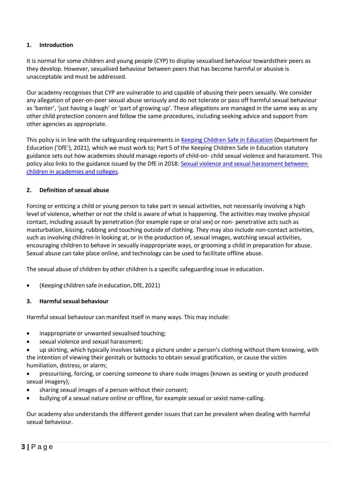## **1. Introduction**

It is normal for some children and young people (CYP) to display sexualised behaviour towardstheir peers as they develop. However, sexualised behaviour between peers that has become harmful or abusive is unacceptable and must be addressed.

Our academy recognises that CYP are vulnerable to and capable of abusing their peers sexually. We consider any allegation of peer-on-peer sexual abuse seriously and do not tolerate or pass off harmful sexual behaviour as 'banter', 'just having a laugh' or 'part of growing up'. These allegations are managed in the same way as any other child protection concern and follow the same procedures, including seeking advice and support from other agencies as appropriate.

This policy is in line with the safeguarding requirements in [Keeping Children Safe in Education](https://eur02.safelinks.protection.outlook.com/?url=https%3A%2F%2Fassets.publishing.service.gov.uk%2Fgovernment%2Fuploads%2Fsystem%2Fuploads%2Fattachment_data%2Ffile%2F954314%2FKeeping_children_safe_in_education_2020_-_Update_-_January_2021.pdf&data=04%7C01%7C%7Cf2e9fff87b2149eb72d208d8fe84ac80%7Ca8b4324f155c4215a0f17ed8cc9a992f%7C0%7C0%7C637539193225028841%7CUnknown%7CTWFpbGZsb3d8eyJWIjoiMC4wLjAwMDAiLCJQIjoiV2luMzIiLCJBTiI6Ik1haWwiLCJXVCI6Mn0%3D%7C1000&sdata=VnfJGiVrh%2BweNNu%2BiwjdcWv8RJzWF6EvSn1d8NGC7oE%3D&reserved=0) (Department for Education ('DfE'), 2021), which we must work to; Part 5 of the Keeping Children Safe in Education statutory guidance sets out how academies should manage reports of child-on- child sexual violence and harassment. This policy also links to the guidance issued by the DfE in 2018: Sexual violence and sexual [harassment](https://eur02.safelinks.protection.outlook.com/?url=https%3A%2F%2Fwww.gov.uk%2Fgovernment%2Fpublications%2Fsexual-violence-and-sexual-harassment-between-children-in-schools-and-colleges&data=04%7C01%7C%7Cf2e9fff87b2149eb72d208d8fe84ac80%7Ca8b4324f155c4215a0f17ed8cc9a992f%7C0%7C0%7C637539193225038798%7CUnknown%7CTWFpbGZsb3d8eyJWIjoiMC4wLjAwMDAiLCJQIjoiV2luMzIiLCJBTiI6Ik1haWwiLCJXVCI6Mn0%3D%7C1000&sdata=ZYrHV9%2FJUndIMjNVX505sSFT9UICMSs637uOd9Oag4Q%3D&reserved=0) between children in [academies](https://eur02.safelinks.protection.outlook.com/?url=https%3A%2F%2Fwww.gov.uk%2Fgovernment%2Fpublications%2Fsexual-violence-and-sexual-harassment-between-children-in-schools-and-colleges&data=04%7C01%7C%7Cf2e9fff87b2149eb72d208d8fe84ac80%7Ca8b4324f155c4215a0f17ed8cc9a992f%7C0%7C0%7C637539193225038798%7CUnknown%7CTWFpbGZsb3d8eyJWIjoiMC4wLjAwMDAiLCJQIjoiV2luMzIiLCJBTiI6Ik1haWwiLCJXVCI6Mn0%3D%7C1000&sdata=ZYrHV9%2FJUndIMjNVX505sSFT9UICMSs637uOd9Oag4Q%3D&reserved=0) and colleges.

## **2. Definition of sexual abuse**

Forcing or enticing a child or young person to take part in sexual activities, not necessarily involving a high level of violence, whether or not the child is aware of what is happening. The activities may involve physical contact, including assault by penetration (for example rape or oral sex) or non- penetrative acts such as masturbation, kissing, rubbing and touching outside of clothing. They may also include non-contact activities, such as involving children in looking at, or in the production of, sexual images, watching sexual activities, encouraging children to behave in sexually inappropriate ways, or grooming a child in preparation for abuse. Sexual abuse can take place online, and technology can be used to facilitate offline abuse.

The sexual abuse of children by other children is a specific safeguarding issue in education.

(Keeping children safe in education, DfE, 2021)

## **3. Harmfulsexual behaviour**

Harmful sexual behaviour can manifest itself in many ways. This may include:

- inappropriate or unwanted sexualised touching;
- sexual violence and sexual harassment;

 up skirting, which typically involves taking a picture under a person's clothing without them knowing, with the intention of viewing their genitals or buttocks to obtain sexual gratification, or cause the victim humiliation, distress, or alarm;

 pressurising, forcing, or coercing someone to share nude images (known as sexting or youth produced sexual imagery);

- sharing sexual images of a person without their consent;
- bullying of a sexual nature online or offline, for example sexual or sexist name-calling.

Our academy also understands the different gender issues that can be prevalent when dealing with harmful sexual behaviour.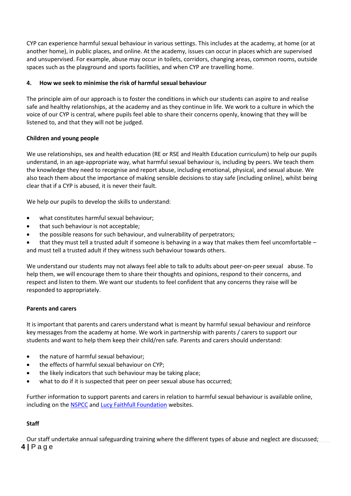CYP can experience harmful sexual behaviour in various settings. This includes at the academy, at home (or at another home), in public places, and online. At the academy, issues can occur in places which are supervised and unsupervised. For example, abuse may occur in toilets, corridors, changing areas, common rooms, outside spaces such as the playground and sports facilities, and when CYP are travelling home.

## **4. How we seek to minimise the risk of harmful sexual behaviour**

The principle aim of our approach is to foster the conditions in which our students can aspire to and realise safe and healthy relationships, at the academy and as they continue in life. We work to a culture in which the voice of our CYP is central, where pupils feel able to share their concerns openly, knowing that they will be listened to, and that they will not be judged.

## **Children and young people**

We use relationships, sex and health education (RE or RSE and Health Education curriculum) to help our pupils understand, in an age-appropriate way, what harmful sexual behaviour is, including by peers. We teach them the knowledge they need to recognise and report abuse, including emotional, physical, and sexual abuse. We also teach them about the importance of making sensible decisions to stay safe (including online), whilst being clear that if a CYP is abused, it is never their fault.

We help our pupils to develop the skills to understand:

- what constitutes harmful sexual behaviour;
- that such behaviour is not acceptable;
- the possible reasons for such behaviour, and vulnerability of perpetrators;

 that they must tell a trusted adult if someone is behaving in a way that makes them feel uncomfortable – and must tell a trusted adult if they witness such behaviour towards others.

We understand our students may not always feel able to talk to adults about peer-on-peer sexual abuse. To help them, we will encourage them to share their thoughts and opinions, respond to their concerns, and respect and listen to them. We want our students to feel confident that any concerns they raise will be responded to appropriately.

## **Parents and carers**

It is important that parents and carers understand what is meant by harmful sexual behaviour and reinforce key messages from the academy at home. We work in partnership with parents / carers to support our students and want to help them keep their child/ren safe. Parents and carers should understand:

- the nature of harmful sexual behaviour;
- the effects of harmful sexual behaviour on CYP;
- the likely indicators that such behaviour may be taking place;
- what to do if it is suspected that peer on peer sexual abuse has occurred;

Further information to support parents and carers in relation to harmful sexual behaviour is available online, including on th[e NSPCC](https://www.nspcc.org.uk/what-is-child-abuse/types-of-abuse/child-sexual-abuse/#support) and Lucy Faithfull [Foundation](https://www.lucyfaithfull.org.uk/parents-protect.htm) websites.

## **Staff**

**4 |** P a g e Our staff undertake annual safeguarding training where the different types of abuse and neglect are discussed;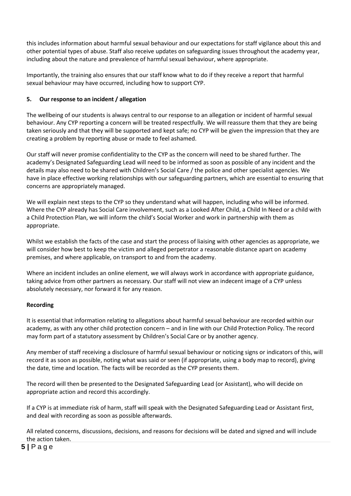this includes information about harmful sexual behaviour and our expectations for staff vigilance about this and other potential types of abuse. Staff also receive updates on safeguarding issues throughout the academy year, including about the nature and prevalence of harmful sexual behaviour, where appropriate.

Importantly, the training also ensures that our staff know what to do if they receive a report that harmful sexual behaviour may have occurred, including how to support CYP.

## **5. Our response to an incident / allegation**

The wellbeing of our students is always central to our response to an allegation or incident of harmful sexual behaviour. Any CYP reporting a concern will be treated respectfully. We will reassure them that they are being taken seriously and that they will be supported and kept safe; no CYP will be given the impression that they are creating a problem by reporting abuse or made to feel ashamed.

Our staff will never promise confidentiality to the CYP as the concern will need to be shared further. The academy's Designated Safeguarding Lead will need to be informed as soon as possible of any incident and the details may also need to be shared with Children's Social Care / the police and other specialist agencies. We have in place effective working relationships with our safeguarding partners, which are essential to ensuring that concerns are appropriately managed.

We will explain next steps to the CYP so they understand what will happen, including who will be informed. Where the CYP already has Social Care involvement, such as a Looked After Child, a Child In Need or a child with a Child Protection Plan, we will inform the child's Social Worker and work in partnership with them as appropriate.

Whilst we establish the facts of the case and start the process of liaising with other agencies as appropriate, we will consider how best to keep the victim and alleged perpetrator a reasonable distance apart on academy premises, and where applicable, on transport to and from the academy.

Where an incident includes an online element, we will always work in accordance with appropriate guidance, taking advice from other partners as necessary. Our staff will not view an indecent image of a CYP unless absolutely necessary, nor forward it for any reason.

## **Recording**

It is essential that information relating to allegations about harmful sexual behaviour are recorded within our academy, as with any other child protection concern – and in line with our Child Protection Policy. The record may form part of a statutory assessment by Children's Social Care or by another agency.

Any member of staff receiving a disclosure of harmful sexual behaviour or noticing signs or indicators of this, will record it as soon as possible, noting what was said or seen (if appropriate, using a body map to record), giving the date, time and location. The facts will be recorded as the CYP presents them.

The record will then be presented to the Designated Safeguarding Lead (or Assistant), who will decide on appropriate action and record this accordingly.

If a CYP is at immediate risk of harm, staff will speak with the Designated Safeguarding Lead or Assistant first, and deal with recording as soon as possible afterwards.

All related concerns, discussions, decisions, and reasons for decisions will be dated and signed and will include the action taken.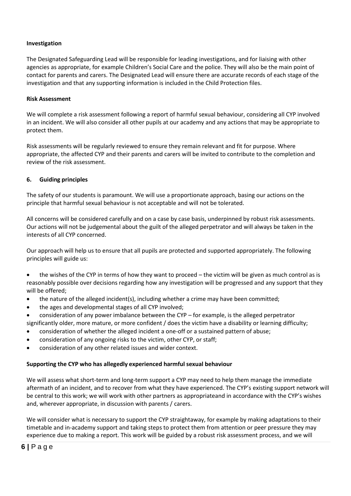#### **Investigation**

The Designated Safeguarding Lead will be responsible for leading investigations, and for liaising with other agencies as appropriate, for example Children's Social Care and the police. They will also be the main point of contact for parents and carers. The Designated Lead will ensure there are accurate records of each stage of the investigation and that any supporting information is included in the Child Protection files.

#### **Risk Assessment**

We will complete a risk assessment following a report of harmful sexual behaviour, considering all CYP involved in an incident. We will also consider all other pupils at our academy and any actions that may be appropriate to protect them.

Risk assessments will be regularly reviewed to ensure they remain relevant and fit for purpose. Where appropriate, the affected CYP and their parents and carers will be invited to contribute to the completion and review of the risk assessment.

#### **6. Guiding principles**

The safety of our students is paramount. We will use a proportionate approach, basing our actions on the principle that harmful sexual behaviour is not acceptable and will not be tolerated.

All concerns will be considered carefully and on a case by case basis, underpinned by robust risk assessments. Our actions will not be judgemental about the guilt of the alleged perpetrator and will always be taken in the interests of all CYP concerned.

Our approach will help us to ensure that all pupils are protected and supported appropriately. The following principles will guide us:

 the wishes of the CYP in terms of how they want to proceed – the victim will be given as much control as is reasonably possible over decisions regarding how any investigation will be progressed and any support that they will be offered;

- the nature of the alleged incident(s), including whether a crime may have been committed;
- the ages and developmental stages of all CYP involved;
- consideration of any power imbalance between the CYP for example, is the alleged perpetrator

significantly older, more mature, or more confident / does the victim have a disability or learning difficulty;

- consideration of whether the alleged incident a one-off or a sustained pattern of abuse;
- consideration of any ongoing risks to the victim, other CYP, or staff;
- consideration of any other related issues and wider context.

#### **Supporting the CYP who has allegedly experienced harmful sexual behaviour**

We will assess what short-term and long-term support a CYP may need to help them manage the immediate aftermath of an incident, and to recover from what they have experienced. The CYP's existing support network will be central to this work; we will work with other partners as appropriateand in accordance with the CYP's wishes and, wherever appropriate, in discussion with parents / carers.

We will consider what is necessary to support the CYP straightaway, for example by making adaptations to their timetable and in-academy support and taking steps to protect them from attention or peer pressure they may experience due to making a report. This work will be guided by a robust risk assessment process, and we will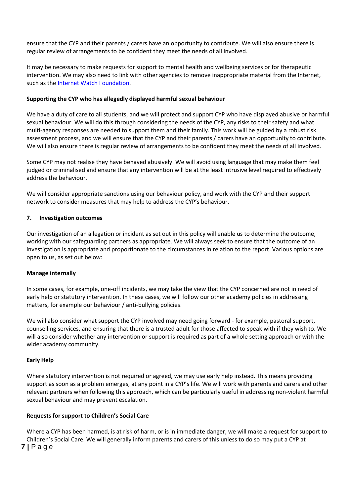ensure that the CYP and their parents / carers have an opportunity to contribute. We will also ensure there is regular review of arrangements to be confident they meet the needs of all involved.

It may be necessary to make requests for support to mental health and wellbeing services or for therapeutic intervention. We may also need to link with other agencies to remove inappropriate material from the Internet, such as the Internet Watch [Foundation.](https://www.iwf.org.uk/)

#### **Supporting the CYP who has allegedly displayed harmful sexual behaviour**

We have a duty of care to all students, and we will protect and support CYP who have displayed abusive or harmful sexual behaviour. We will do this through considering the needs of the CYP, any risks to their safety and what multi-agency responses are needed to support them and their family. This work will be guided by a robust risk assessment process, and we will ensure that the CYP and their parents / carers have an opportunity to contribute. We will also ensure there is regular review of arrangements to be confident they meet the needs of all involved.

Some CYP may not realise they have behaved abusively. We will avoid using language that may make them feel judged or criminalised and ensure that any intervention will be at the least intrusive level required to effectively address the behaviour.

We will consider appropriate sanctions using our behaviour policy, and work with the CYP and their support network to consider measures that may help to address the CYP's behaviour.

#### **7. Investigation outcomes**

Our investigation of an allegation or incident as set out in this policy will enable us to determine the outcome, working with our safeguarding partners as appropriate. We will always seek to ensure that the outcome of an investigation is appropriate and proportionate to the circumstances in relation to the report. Various options are open to us, as set out below:

#### **Manage internally**

In some cases, for example, one-off incidents, we may take the view that the CYP concerned are not in need of early help or statutory intervention. In these cases, we will follow our other academy policies in addressing matters, for example our behaviour / anti-bullying policies.

We will also consider what support the CYP involved may need going forward - for example, pastoral support, counselling services, and ensuring that there is a trusted adult for those affected to speak with if they wish to. We will also consider whether any intervention or support is required as part of a whole setting approach or with the wider academy community.

## **Early Help**

Where statutory intervention is not required or agreed, we may use early help instead. This means providing support as soon as a problem emerges, at any point in a CYP's life. We will work with parents and carers and other relevant partners when following this approach, which can be particularly useful in addressing non-violent harmful sexual behaviour and may prevent escalation.

## **Requests for support to Children's Social Care**

**7 |** P a g e Where a CYP has been harmed, is at risk of harm, or is in immediate danger, we will make a request for support to Children's Social Care. We will generally inform parents and carers of this unless to do so may put a CYP at